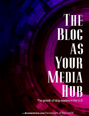## **The Second Second BING AS** Your Media HUB-

The growth of blog readers in the U.S

from**BannerView.com**DevelopersofBannerOS